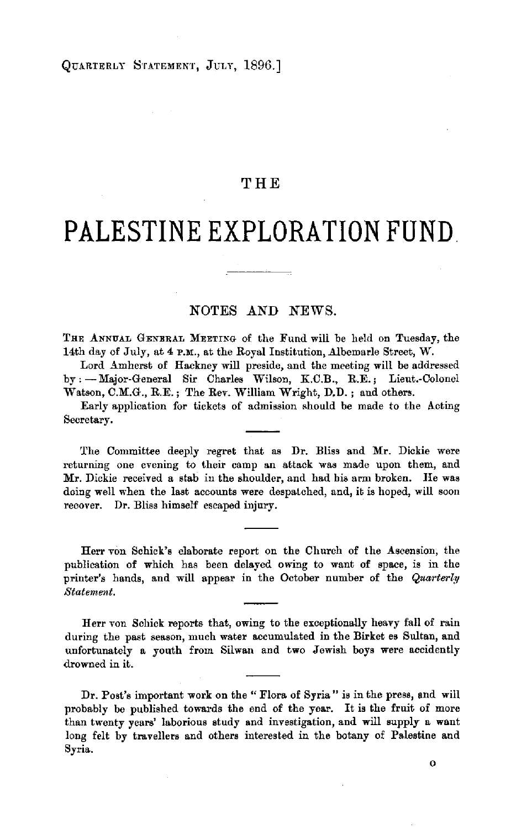## **THE**

# **PALESTINE EXPLORATION FUND.**

## NOTES AND NEWS.

THE ANNUAL GENERAL MEETING of the Fund will be held on Tuesday, the 14th day of July, at **4 P.M.,** at the Royal Institution, Albemarle Street, **W.** 

Lord Amherst of Hackney will preside, and the meeting will be addressed by : - Major-General Sir Charles Wilson, K.C.B., R.E. ; Lieut.-Colonel Watson, C.M.G., R.E.; The Rev. William Wright, D.D.; and others.

Early application for tickets of admission should be made to the Acting Secretary.

The Committee deeply regret that as Dr. Bliss and **Mr.** Dickie were returning one evening to their camp an attack was made upon them, and Mr. Dickie received a stab in the shoulder, and had bis arm broken. He was doing well when the last accounts were despatched, and, it is hoped, will soon recover. Dr. Bliss himself escaped injury.

Herr von Schick's elaborate report on the Church of the Ascension, the publication of which has been delayed owing to want of space, is in the printer's hands, and will appear in the October number of the *Quarterly Statement.* 

Herr von Schick reports that, owing to the exceptionally heavy fall of rain during the past season, much water accumulated in the Birket es Sultan, and unfortunately a youth from Silwan and two Jewish boys were accidently drowned in it.

Dr. Post's important work on the "Flora of Syria" is in the press, and will probably be published towards the end of the year. It is the fruit of more than twenty years' laborious study and investigation, and will supply a want long felt by travellers and others interested in the botany of Palestine and Syria.

 $\mathbf{o}$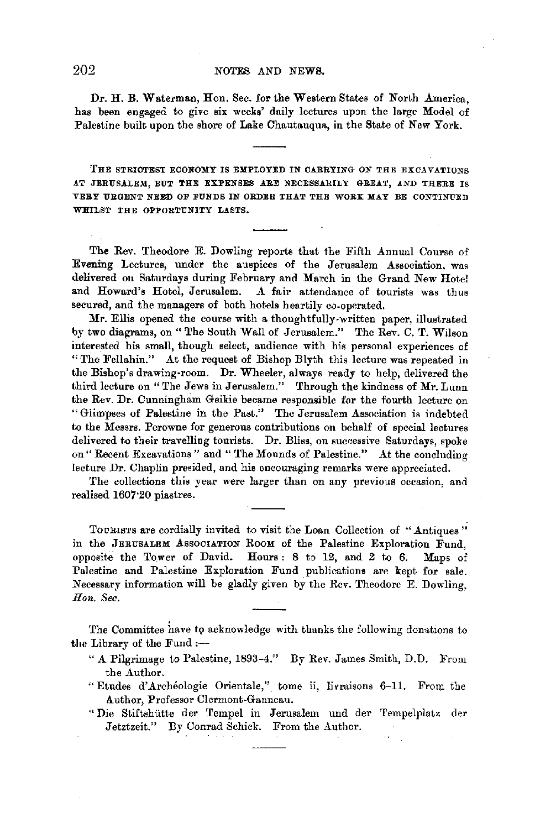## 202 NOTES AND NEWS.

Dr. H. B. Waterman, Hon. Sec. for the Western States of North America, has been engaged to give six weeks' daily lectures upon the large Model of Palestine built upon the shore of Lake Chautauqua, in the State of New York.

THE STRI0TEST ECONOMY IS EMPLOYED IN CARRYING ON THE EXCAVATIONS AT JERUSALEM, BUT THE EXPENSES ARE NECESSARILY GREAT, AND THERE IS VERY URGENT NEED OF FUNDS IN ORDER THAT THE WORK MAY BE CONTINUED WHILST THE OPPORTUNITY LASTS.

The Rev. Theodore E. Dowling reports that the Fifth Annual Course of Evening Lectures, under the auspices of the Jerusalem Association, was delivered ou Saturdays during February and March in the Grand New Hotel and Howard's Hotel, Jerusalem. A fair attendance of tourists was thus A fair attendance of tourists was thus secured, and the managers of both hotels heartily co-operated.

**Mr.** Ellis opened the course with a thoughtfully-written paper, illustrated by two diagrams, on" The South Wall of Jerusalem." The Rev. C. T. Wilson interested his small, though select, audience with his personal experiences of "The Fellahin." At the request of Bishop Blyth this lecture was repeated in the Bishop's drawing-room. Dr. Wheeler, always ready to help, delivered the third lecture on "The Jews in Jerusalem." Through the kindness of Mr. Lunn the Rev. Dr. Cunningham Geikie became responsible for the fourth lecture on "Glimpses of Palestine in the Past." The Jerusalem Association is indebted to the Messrs. Perowne for generous contributions on behalf of special lectures delivered to their travelling tourists. Dr. Bliss, on successive Saturdays, spoke on" Recent Excavations" and "'fhe Mounds of Palestine." At the concluding lecture Dr. Chaplin presided, and hie encouraging remarks were appreciated.

The collections this year were larger than on any previous occasion, and realised 1607·20 piastres.

TOURISTS are cordially invited to visit the Loan Collection of "Antiques" in the JERUSALEM AssOCIATION RooM of the Palestine Exploration Fund, opposite the Tower of David. Hours : 8 to 12, and 2 to 6. Maps of Palestine and Palestine Exploration Fund publications are kept for sale. Necessary information will be gladly given by the Rev. Theodore E. Dowling, *Hon. Sec.* 

The Committee have to acknowledge with thanks the following donations to the Library of the Fund :-

- " **A** Pilgrimage to Palestine, 1893-4." By Rev. James Smith, D.D. From the Author.
- "Etudes d'Archéologie Orientale," tome ii, livraisons 6-11. From the Author, Professor Clermont-Ganneau.
- "Die Stiftshiitte der Tempel in Jerusalem und der Tempelplatz der Jetztzeit." By Conrad Schick. From the Author.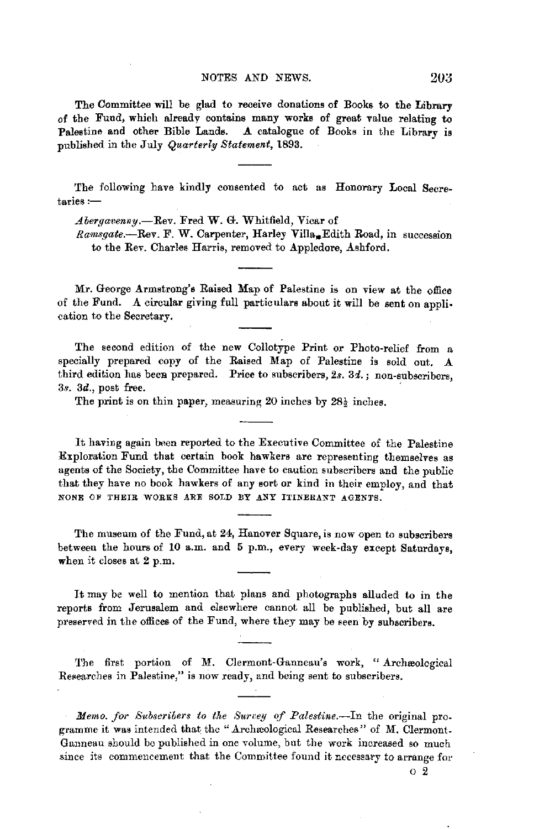#### NOTES AND NEWS. 203

The Committee will be glad to receive donations of Books to the Library of the Fund, which already contains many works of great value relating to Palestine and other Bible Lands. A catalogue of Books in the Library is published in the July *Quarterly Statement,* 1893.

The following have kindly consented to act as Honorary Local Secre $t$ aries : $-$ 

Abergavenny.-Rev. Fred W. G. Whitfield, Vicar of

*Ramsgate.*-Rev. F. W. Carpenter, Harley Villa. Edith Road, in succession to the Rev. Charles Harris, removed to Appledore, Ashford.

Mr. George Armstrong's Raised Map of Palestine is on view at the office of the Fund. A circular giving full particulars about it will be sent on application to the Secretary.

The second edition of the new Collotype Print or Photo-relief from a specially prepared copy of the Raised Map of Palestine is sold out. **A**  third edition has been prepared. Price to subscribers, 2s. 3d.; non-subscribers,  $3s.$   $3d.$ , post free.

The print is on thin paper, measuring 20 inches by  $28\frac{1}{3}$  inches.

It having again been reported to the Executive Committee of the Palestine Exploration Fund that certain book hawkers are representing themselves as agents of the Society, the Committee have to caution subscribers and the public that they have no book hawkers of any sort or kind in their employ, and that NONE OF THEIR WORKS ARE SOLD BY ANY ITINERANT AGENTS.

The museum of the Fund, at 24, Hanover Square, is now open to subscribers between the hours of 10 a.m. and 5 p.m., every week-day except Saturdays, when it closes at 2 p.m.

It may be well to mention that plans and photographs alluded to in the reports from Jerusalem and elsewhere cannot all be published, but all are preserved in the offices of the Fund, where they may be seen by suhscribers.

The first portion of M. Clermont-Ganneau's work, "Archæological Researches in Palestine," is now ready, and being sent to subscribers.

*Memo. for Subscribers to the Survey of Palestine.*-In the original programme it was intended that the "Archaeological Researches" of M. Clermont. Ganneau should be published in one volume, but the work increased so much since its commencement that the Committee found it necessary to arrange for

o *2*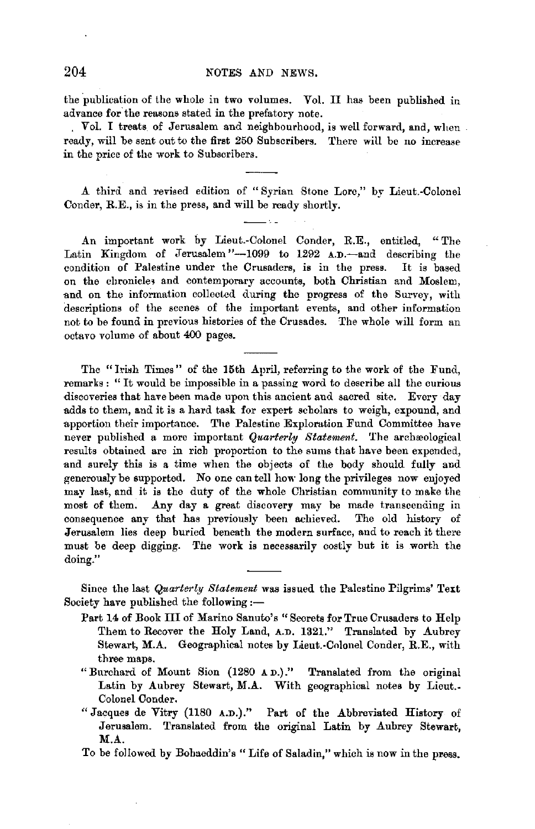## 204 NOTES AND NEWS.

the publication of the whole in two volumes. Vol. II has been published in advance for the reasons stated in the prefatory note.

Vol. I treats of Jerusalem and neighbourhood, is well forward, and, when ready, will be sent out to the first 250 Subscribers. There will be no increase in the price of the work to Subscribers.

**.A.** third and revised edition of "Syrian Stone Lore," by Lieut.-Colonel Conder, R.E., is in the press, and will be ready shortly.

An important work by Lieut.-Colonel Conder, R.E., entitled, "The Latin Kingdom of Jerusalem "--1099 to 1292 A.D.-and describing the condition of Palestine under the Crusaders, **is** in the press. It is based on the chronicles and contemporary accounts, both Christian and Moslem, and on the information collected during the progress of the Survey, with descriptions of the scenes of the important events, and other information not to be found in previous histories of the Crusades. The whole will form an octavo volume of about 400 pages.

The "Irish Times" of the 15th April, referring to the work of the Fund, remarks: "It would be impossible in a passing word to describe all the curious discoveries that have been made upon this ancient and sacred site. Every day adds to them, and it is a hard task for expert scholars to weigh, expound, and apportion their importance. The Palestine Exploration Fund Committee have never published a more important *Quarterly Statement*. The archæological results obtained are in rich proportion to the sums that have been expended, and surely this is a time when the objects of the body should fully and generously be supported. No one can tell how long the privileges now enjoyed may last, and it **is** the duty of the whole Christian community to make the most of them. Any day a great discovery may be made transcending in consequence any that has previously been nchieved. The old history of Jerusalem lies deep buried beneath the modern surface, and to reach it there must be deep digging. The work is necessarily costly but it is worth the doing."

Since the last *Quarterly Statement* was issued the Palestine Pilgrims' Text Society have published the following :-

- Part 14 of Book III of Marino Sanuto's "Secrets for True Crusaders to Help Them to Recover the Holy Land, A.D. 1321." Translated by Aubrey Stewart, **M.A.** Geographical notes by Lieut.-Colonel Conder, R.E., with three maps.
- "Burchard of Mount Sion (1280 AD.)." Translated from the original Latin by Aubrey Stewart, M.A. With geographical notes by Lieut. Colonel Conder.
- "Jacques de Vitry (1180 A.D.)." Part of the Abbreviated History of Jerusalem. Translated from the original Latin by Aubrey Stewart, **M.A.**
- To be followed by Bohaeddin's "Life of Saladin," which is now in the press.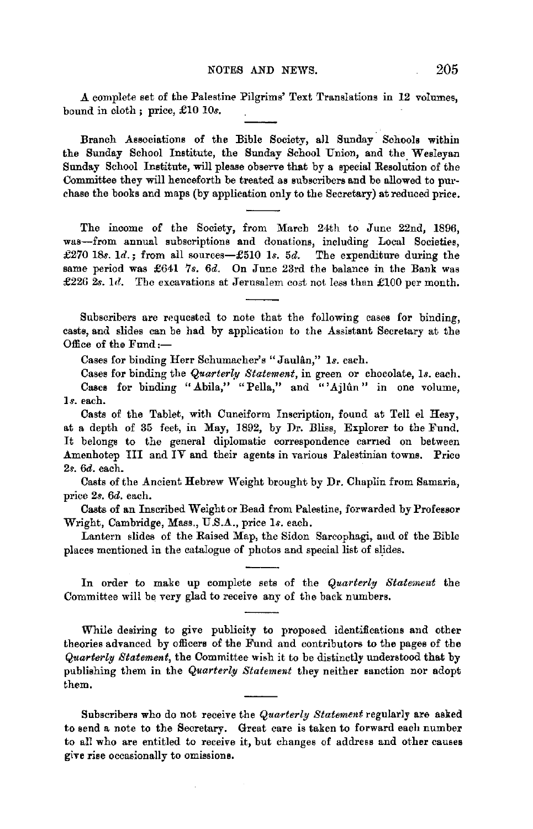A complete set of the Palestine Pilgrims' Text Translations in 12 volumes, bound in cloth ; price, £10 IOs.

Branch Associations of the Bible Society, all Sunday Schools within the Sunday School Institute, the Sunday School Union, and the Wesleyan Sunday School Institute, will please observe that by a special Resolution of the Committee they will henceforth be treated as subscribers and be allowed to purchase the books and maps (by application only to the Secretary) at reduced price.

The income of the Society, from March 24th to June 22nd, 1896, was-from annual subscriptions and donations, including Local Societies, £270 18s. *Id.;* from all sources-£510 *ls.* 5d. The expenditure during the same period was £641 7s. 6d. On June 23rd the balance in the Bank was £226 *2s. ld.* The excavations at Jerusalem cost not less than £100 per month.

Subscribers are requested to note that the following cases for binding, casts, and slides can be had by applicatiou to the Assistant Secretary at the Office of the Fund:-

Cases for binding Herr Schumacher's "Jaulan," *ls.* each.

Cases for binding the *Quarter(11 Statement,* in green or chocolate, *ls.* each. Cases for binding "Abila," "Pella," and "'Ajlûn" in one volume, *ls.* each.

Casts of the Tablet, with Cuneiform Inscription, found at Tell el Hesy, at a depth of 35 feet, in May, 1892, by Dr. Bliss, Explorer to the Fund. It belongs to the general diplomatic correspondence carried on between Amenhotep III and IV and their agents in various Paiestinian towns. Price *2s.* 6d. each.

Casts of the Ancient Hebrew Weight brought by Dr. Chaplin from Samaria, price *2s.* 6d. each.

Casts of an Inscribed Weight or Bead from Palestine, forwarded by Professor Wright, Cambridge, Mass., U.S.A., price ls. each.

Lantern slides of the Raised Map, the Sidon Sarcophagi, aud of the Bible places mentioned in the catalogue of photos and special list of slides.

In order to make up complete sets of the *Quarterly Statement* the Committee will be very glad to receive any of the back numbers.

While desiring to give publicity to proposed identifications and other theories advanced by officers of the Fund and contributors to the pages of the *Quarterly Statement,* the Committee wish it to be distinctly understood that by publishing them in the *Quarterly Statement* they neither sanction nor adopt them.

Subscribers who do not receive the *Qua-rterly Statement* regularly are asked to send a note to the Secretary. Great care is taken to forward each number to all who are entitled to receive it, but changes of address and other causes give rise occasionally to omissions.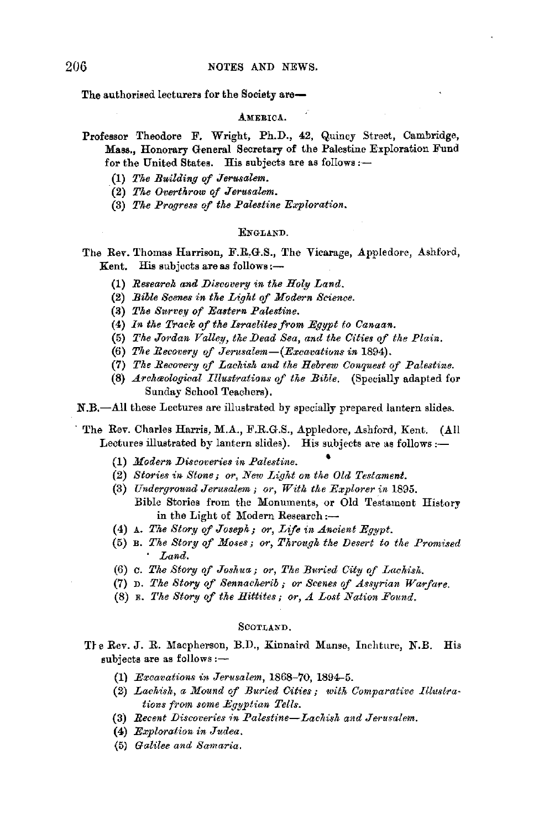The authorised lecturers for the Society are-

### AMERICA.

- Professor Theodore F. Wright, Ph.D., 42, Quincy Street, Cambridge, **Mass.,** Honorary General Secretary of the Palestine Exploration Fund for the United States. His subjects are as follows:-
	- (1) *The Building* of *Jerusalem.*
	- (2) *The Overthrow* of *Jerusalem.*
	- (3) The Progress of the Palestine Exploration.

### ENGLAND.

The Rev. Thomas Harrison, F.R,G.S., The Vicarage, Appledore, Ashford, Kent. His subjects are as follows:-

- (1) *Research and Discovery in the Holy Land.*
- (2) *Bible Scenes in the Light of Modern Science.*
- (3) The Survey of Eastern Palestine.
- (4) In the Track of the Israelites from Egypt to Canaan.
- (5) The Jordan Valley, the Dead Sea, and the Cities of the Plain.
- (6) *The Recovery of Jerusalem-(Excavatiuns in* 1894).
- **(7)** *The Reaovery of Lachish and the Hebrew Conquest of Palestine.*
- **(8)** *A.rchmological Illustrations of the Bible.* (Specially adapted for Sunday School Teachers).

**N.B.-All** these Lectures are illustrated by specially prepared lantern slides.

The Rev. Charles Harris, **M.A.,** F.R.G.S., Appledore, Ashford, Kent. (All Lectures illustrated by lantern slides). His subjects are as follows: $\leftarrow$ 

- (1) *Modern Discoveries in Palestine.* •
- (2) Stories in Stone; or, New Light on the Old Testament.
- (3) *Underground Jerusalem; or, With tke Explorer in* 1895. Bible Stories from the Monuments, or Old Testament History in the Light of Modern Research :--
- (4) A. *Tke Story of Joseph; or, Life in Ancient Egypt.*
- (5) B. *The Story of Moses; or, Through the Desert to tke Promised*  · *Land.*
- (6) c. *Tke Story of Joshua; or, The Buried City of Lachis/..*
- (7) D. *The Story of Sennacherib; or Scenes of Assyrian Warfare.*
- (8) E. The Story of the Hittites; or, A Lost Nation Found.

## SCOTLAND.

The Rev. J. R. Macpherson, B.D., Kinnaird Manse, Inchture, N.B. His subjects are as follows:-

- (1) *Excavations in Jerusalem,* 1868-70, 1894-5.
- (2) *Lachish, a Mound of Buried Cities; witk Comparative Illustra* $tions$  from some Egyptian Tells.
- **{3)** *Recent Discoveries ,n Palestine-Lachish and Jerusalem.*
- **(4)** *E:JJploration in Judea.*
- (5) *Galilee and Samaria.*